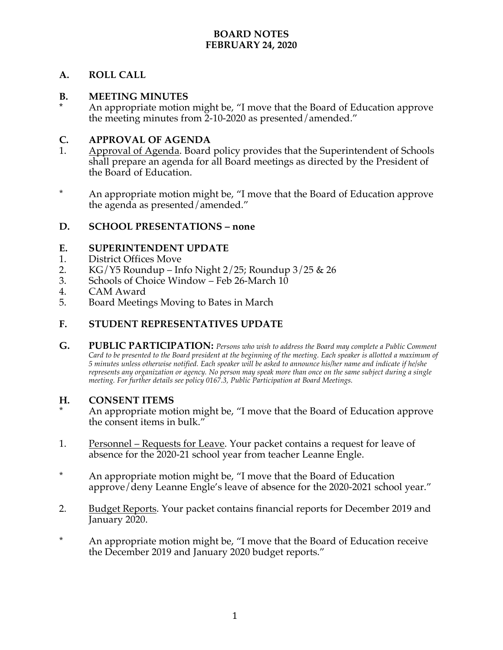### **BOARD NOTES FEBRUARY 24, 2020**

## **A. ROLL CALL**

#### **B. MEETING MINUTES**

**\*** An appropriate motion might be, "I move that the Board of Education approve the meeting minutes from 2-10-2020 as presented/amended."

## **C. APPROVAL OF AGENDA**

- 1. Approval of Agenda. Board policy provides that the Superintendent of Schools shall prepare an agenda for all Board meetings as directed by the President of the Board of Education.
- \* An appropriate motion might be, "I move that the Board of Education approve the agenda as presented/amended."

## **D. SCHOOL PRESENTATIONS – none**

### **E. SUPERINTENDENT UPDATE**

- 1. District Offices Move
- 2. KG/Y5 Roundup Info Night  $2/25$ ; Roundup  $3/25$  & 26<br>3. Schools of Choice Window Feb 26-March 10
- Schools of Choice Window Feb  $26$ -March  $10$
- 4. CAM Award<br>5. Board Meetin
- 5. Board Meetings Moving to Bates in March

### **F. STUDENT REPRESENTATIVES UPDATE**

**G. PUBLIC PARTICIPATION:** *Persons who wish to address the Board may complete a Public Comment Card to be presented to the Board president at the beginning of the meeting. Each speaker is allotted a maximum of 5 minutes unless otherwise notified. Each speaker will be asked to announce his/her name and indicate if he/she represents any organization or agency. No person may speak more than once on the same subject during a single meeting. For further details see policy 0167.3, Public Participation at Board Meetings.*

#### **H. CONSENT ITEMS**

- An appropriate motion might be, "I move that the Board of Education approve the consent items in bulk."
- 1. Personnel Requests for Leave. Your packet contains a request for leave of absence for the 2020-21 school year from teacher Leanne Engle.
- \* An appropriate motion might be, "I move that the Board of Education approve/deny Leanne Engle's leave of absence for the 2020-2021 school year."
- 2. Budget Reports. Your packet contains financial reports for December 2019 and January 2020.
- \* An appropriate motion might be, "I move that the Board of Education receive the December 2019 and January 2020 budget reports."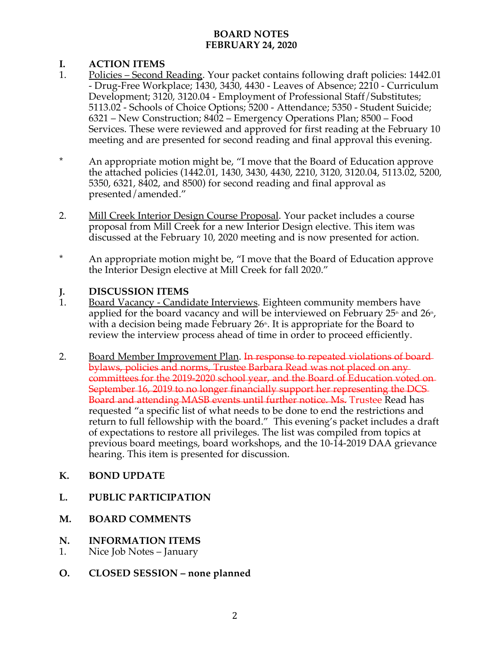# **BOARD NOTES FEBRUARY 24, 2020**

# **I. ACTION ITEMS**

- 1. Policies Second Reading. Your packet contains following draft policies: 1442.01 - Drug-Free Workplace; 1430, 3430, 4430 - Leaves of Absence; 2210 - Curriculum Development; 3120, 3120.04 - Employment of Professional Staff/Substitutes; 5113.02 - Schools of Choice Options; 5200 - Attendance; 5350 - Student Suicide; 6321 – New Construction; 8402 – Emergency Operations Plan; 8500 – Food Services. These were reviewed and approved for first reading at the February 10 meeting and are presented for second reading and final approval this evening.
- \* An appropriate motion might be, "I move that the Board of Education approve the attached policies (1442.01, 1430, 3430, 4430, 2210, 3120, 3120.04, 5113.02, 5200, 5350, 6321, 8402, and 8500) for second reading and final approval as presented/amended."
- 2. Mill Creek Interior Design Course Proposal. Your packet includes a course proposal from Mill Creek for a new Interior Design elective. This item was discussed at the February 10, 2020 meeting and is now presented for action.
- \* An appropriate motion might be, "I move that the Board of Education approve the Interior Design elective at Mill Creek for fall 2020."

## **J. DISCUSSION ITEMS**

- 1. Board Vacancy Candidate Interviews. Eighteen community members have applied for the board vacancy and will be interviewed on February  $25<sup>th</sup>$  and  $26<sup>th</sup>$ , with a decision being made February  $26<sup>th</sup>$ . It is appropriate for the Board to review the interview process ahead of time in order to proceed efficiently.
- 2. Board Member Improvement Plan. In response to repeated violations of board bylaws, policies and norms, Trustee Barbara Read was not placed on any committees for the 2019-2020 school year, and the Board of Education voted on September 16, 2019 to no longer financially support her representing the DCS Board and attending MASB events until further notice. Ms. Trustee Read has requested "a specific list of what needs to be done to end the restrictions and return to full fellowship with the board." This evening's packet includes a draft of expectations to restore all privileges. The list was compiled from topics at previous board meetings, board workshops, and the 10-14-2019 DAA grievance hearing. This item is presented for discussion.

## **K. BOND UPDATE**

- **L. PUBLIC PARTICIPATION**
- **M. BOARD COMMENTS**
- **N. INFORMATION ITEMS**
- 1. Nice Job Notes January
- **O. CLOSED SESSION – none planned**